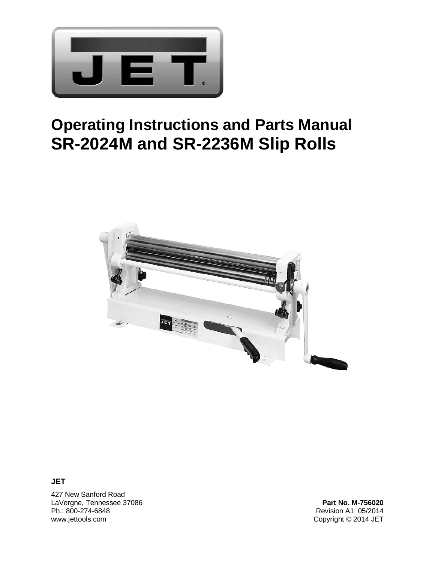

# **Operating Instructions and Parts Manual SR-2024M and SR-2236M Slip Rolls**



**JET** 

427 New Sanford Road LaVergne, Tennessee 37086 **Part No. M-756020** Ph.: 800-274-6848 Revision A1 05/2014

Copyright © 2014 JET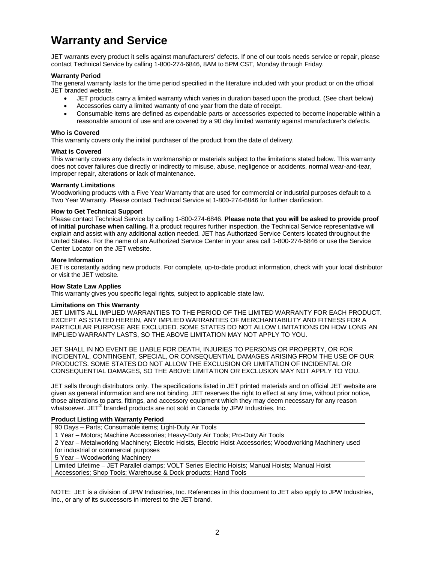# **Warranty and Service**

JET warrants every product it sells against manufacturers' defects. If one of our tools needs service or repair, please contact Technical Service by calling 1-800-274-6846, 8AM to 5PM CST, Monday through Friday.

#### **Warranty Period**

The general warranty lasts for the time period specified in the literature included with your product or on the official JET branded website.

- JET products carry a limited warranty which varies in duration based upon the product. (See chart below)
- Accessories carry a limited warranty of one year from the date of receipt.
- Consumable items are defined as expendable parts or accessories expected to become inoperable within a reasonable amount of use and are covered by a 90 day limited warranty against manufacturer's defects.

#### **Who is Covered**

This warranty covers only the initial purchaser of the product from the date of delivery.

#### **What is Covered**

This warranty covers any defects in workmanship or materials subject to the limitations stated below. This warranty does not cover failures due directly or indirectly to misuse, abuse, negligence or accidents, normal wear-and-tear, improper repair, alterations or lack of maintenance.

#### **Warranty Limitations**

Woodworking products with a Five Year Warranty that are used for commercial or industrial purposes default to a Two Year Warranty. Please contact Technical Service at 1-800-274-6846 for further clarification.

#### **How to Get Technical Support**

Please contact Technical Service by calling 1-800-274-6846. **Please note that you will be asked to provide proof of initial purchase when calling.** If a product requires further inspection, the Technical Service representative will explain and assist with any additional action needed. JET has Authorized Service Centers located throughout the United States. For the name of an Authorized Service Center in your area call 1-800-274-6846 or use the Service Center Locator on the JET website.

#### **More Information**

JET is constantly adding new products. For complete, up-to-date product information, check with your local distributor or visit the JET website.

#### **How State Law Applies**

This warranty gives you specific legal rights, subject to applicable state law.

#### **Limitations on This Warranty**

JET LIMITS ALL IMPLIED WARRANTIES TO THE PERIOD OF THE LIMITED WARRANTY FOR EACH PRODUCT. EXCEPT AS STATED HEREIN, ANY IMPLIED WARRANTIES OF MERCHANTABILITY AND FITNESS FOR A PARTICULAR PURPOSE ARE EXCLUDED. SOME STATES DO NOT ALLOW LIMITATIONS ON HOW LONG AN IMPLIED WARRANTY LASTS, SO THE ABOVE LIMITATION MAY NOT APPLY TO YOU.

JET SHALL IN NO EVENT BE LIABLE FOR DEATH, INJURIES TO PERSONS OR PROPERTY, OR FOR INCIDENTAL, CONTINGENT, SPECIAL, OR CONSEQUENTIAL DAMAGES ARISING FROM THE USE OF OUR PRODUCTS. SOME STATES DO NOT ALLOW THE EXCLUSION OR LIMITATION OF INCIDENTAL OR CONSEQUENTIAL DAMAGES, SO THE ABOVE LIMITATION OR EXCLUSION MAY NOT APPLY TO YOU.

JET sells through distributors only. The specifications listed in JET printed materials and on official JET website are given as general information and are not binding. JET reserves the right to effect at any time, without prior notice, those alterations to parts, fittings, and accessory equipment which they may deem necessary for any reason whatsoever. JET<sup>®</sup> branded products are not sold in Canada by JPW Industries, Inc.

#### **Product Listing with Warranty Period**

90 Days – Parts; Consumable items; Light-Duty Air Tools

1 Year – Motors; Machine Accessories; Heavy-Duty Air Tools; Pro-Duty Air Tools

2 Year – Metalworking Machinery; Electric Hoists, Electric Hoist Accessories; Woodworking Machinery used for industrial or commercial purposes

5 Year – Woodworking Machinery

Limited Lifetime – JET Parallel clamps; VOLT Series Electric Hoists; Manual Hoists; Manual Hoist Accessories; Shop Tools; Warehouse & Dock products; Hand Tools

NOTE: JET is a division of JPW Industries, Inc. References in this document to JET also apply to JPW Industries, Inc., or any of its successors in interest to the JET brand.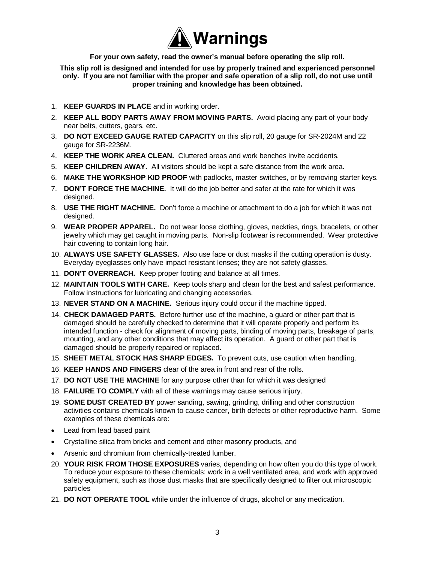

**For your own safety, read the owner's manual before operating the slip roll. This slip roll is designed and intended for use by properly trained and experienced personnel only. If you are not familiar with the proper and safe operation of a slip roll, do not use until proper training and knowledge has been obtained.** 

- 1. **KEEP GUARDS IN PLACE** and in working order.
- 2. **KEEP ALL BODY PARTS AWAY FROM MOVING PARTS.** Avoid placing any part of your body near belts, cutters, gears, etc.
- 3. **DO NOT EXCEED GAUGE RATED CAPACITY** on this slip roll, 20 gauge for SR-2024M and 22 gauge for SR-2236M.
- 4. **KEEP THE WORK AREA CLEAN.** Cluttered areas and work benches invite accidents.
- 5. **KEEP CHILDREN AWAY.** All visitors should be kept a safe distance from the work area.
- 6. **MAKE THE WORKSHOP KID PROOF** with padlocks, master switches, or by removing starter keys.
- 7. **DON'T FORCE THE MACHINE.** It will do the job better and safer at the rate for which it was designed.
- 8. **USE THE RIGHT MACHINE.** Don't force a machine or attachment to do a job for which it was not designed.
- 9. **WEAR PROPER APPAREL.** Do not wear loose clothing, gloves, neckties, rings, bracelets, or other jewelry which may get caught in moving parts. Non-slip footwear is recommended. Wear protective hair covering to contain long hair.
- 10. **ALWAYS USE SAFETY GLASSES.** Also use face or dust masks if the cutting operation is dusty. Everyday eyeglasses only have impact resistant lenses; they are not safety glasses.
- 11. **DON'T OVERREACH.** Keep proper footing and balance at all times.
- 12. **MAINTAIN TOOLS WITH CARE.** Keep tools sharp and clean for the best and safest performance. Follow instructions for lubricating and changing accessories.
- 13. **NEVER STAND ON A MACHINE.** Serious injury could occur if the machine tipped.
- 14. **CHECK DAMAGED PARTS.** Before further use of the machine, a guard or other part that is damaged should be carefully checked to determine that it will operate properly and perform its intended function - check for alignment of moving parts, binding of moving parts, breakage of parts, mounting, and any other conditions that may affect its operation. A guard or other part that is damaged should be properly repaired or replaced.
- 15. **SHEET METAL STOCK HAS SHARP EDGES.** To prevent cuts, use caution when handling.
- 16. **KEEP HANDS AND FINGERS** clear of the area in front and rear of the rolls.
- 17. **DO NOT USE THE MACHINE** for any purpose other than for which it was designed
- 18. **FAILURE TO COMPLY** with all of these warnings may cause serious injury.
- 19. **SOME DUST CREATED BY** power sanding, sawing, grinding, drilling and other construction activities contains chemicals known to cause cancer, birth defects or other reproductive harm. Some examples of these chemicals are:
- Lead from lead based paint
- Crystalline silica from bricks and cement and other masonry products, and
- Arsenic and chromium from chemically-treated lumber.
- 20. **YOUR RISK FROM THOSE EXPOSURES** varies, depending on how often you do this type of work. To reduce your exposure to these chemicals: work in a well ventilated area, and work with approved safety equipment, such as those dust masks that are specifically designed to filter out microscopic particles
- 21. **DO NOT OPERATE TOOL** while under the influence of drugs, alcohol or any medication.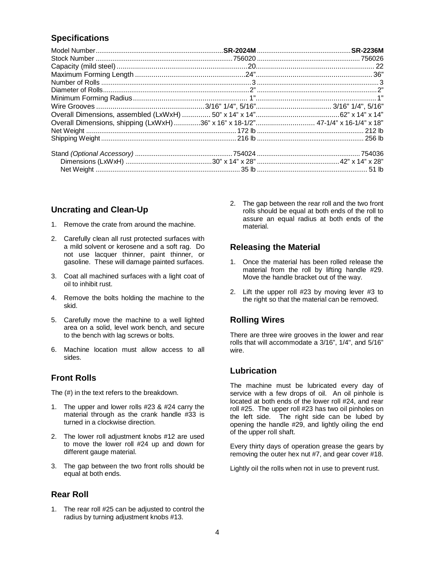# **Specifications**

| Overall Dimensions, shipping (LxWxH) 36" x 16" x 18-1/2"  47-1/4" x 16-1/4" x 18" |  |
|-----------------------------------------------------------------------------------|--|
|                                                                                   |  |
|                                                                                   |  |
|                                                                                   |  |
|                                                                                   |  |
|                                                                                   |  |

# **Uncrating and Clean-Up**

- 1. Remove the crate from around the machine.
- 2. Carefully clean all rust protected surfaces with a mild solvent or kerosene and a soft rag. Do not use lacquer thinner, paint thinner, or gasoline. These will damage painted surfaces.
- 3. Coat all machined surfaces with a light coat of oil to inhibit rust.
- 4. Remove the bolts holding the machine to the skid.
- 5. Carefully move the machine to a well lighted area on a solid, level work bench, and secure to the bench with lag screws or bolts.
- 6. Machine location must allow access to all sides.

## **Front Rolls**

The (#) in the text refers to the breakdown.

- 1. The upper and lower rolls #23 & #24 carry the material through as the crank handle #33 is turned in a clockwise direction.
- 2. The lower roll adjustment knobs #12 are used to move the lower roll #24 up and down for different gauge material.
- 3. The gap between the two front rolls should be equal at both ends.

## **Rear Roll**

1. The rear roll #25 can be adjusted to control the radius by turning adjustment knobs #13.

2. The gap between the rear roll and the two front rolls should be equal at both ends of the roll to assure an equal radius at both ends of the material.

## **Releasing the Material**

- 1. Once the material has been rolled release the material from the roll by lifting handle #29. Move the handle bracket out of the way.
- 2. Lift the upper roll #23 by moving lever #3 to the right so that the material can be removed.

# **Rolling Wires**

There are three wire grooves in the lower and rear rolls that will accommodate a 3/16", 1/4", and 5/16" wire.

## **Lubrication**

The machine must be lubricated every day of service with a few drops of oil. An oil pinhole is located at both ends of the lower roll #24, and rear roll #25. The upper roll #23 has two oil pinholes on the left side. The right side can be lubed by opening the handle #29, and lightly oiling the end of the upper roll shaft.

Every thirty days of operation grease the gears by removing the outer hex nut #7, and gear cover #18.

Lightly oil the rolls when not in use to prevent rust.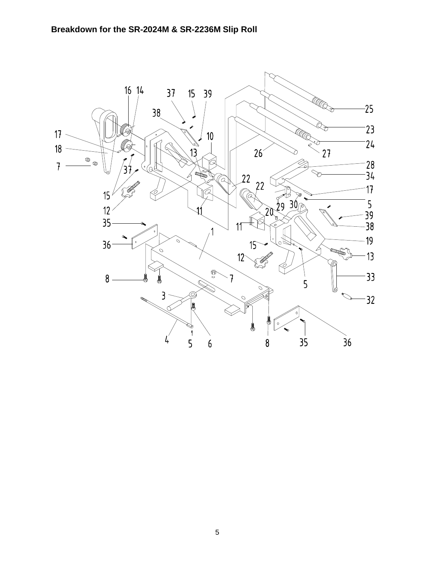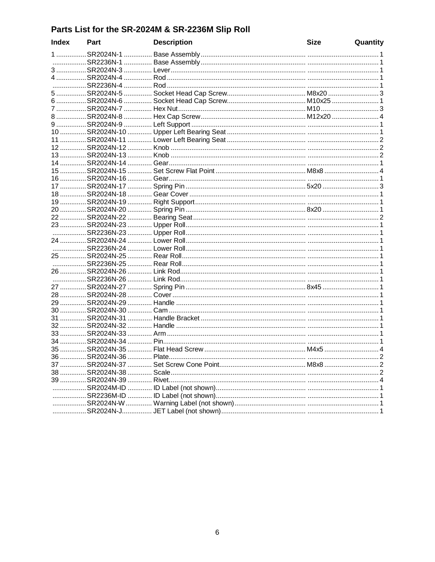# Parts List for the SR-2024M & SR-2236M Slip Roll

| <b>Index</b> | Part | <b>Description</b>                           | <b>Size</b> | Quantity |
|--------------|------|----------------------------------------------|-------------|----------|
|              |      |                                              |             |          |
|              |      |                                              |             |          |
|              |      |                                              |             |          |
|              |      |                                              |             |          |
|              |      |                                              |             |          |
|              |      |                                              |             |          |
|              |      | 6 SR2024N-6  Socket Head Cap Screw M10x25  1 |             |          |
|              |      |                                              |             |          |
|              |      |                                              |             |          |
|              |      |                                              |             |          |
|              |      |                                              |             |          |
|              |      |                                              |             |          |
|              |      |                                              |             |          |
|              |      |                                              |             |          |
|              |      |                                              |             |          |
|              |      |                                              |             |          |
|              |      |                                              |             |          |
|              |      |                                              |             |          |
|              |      |                                              |             |          |
|              |      |                                              |             |          |
|              |      |                                              |             |          |
|              |      |                                              |             |          |
|              |      |                                              |             |          |
|              |      |                                              |             |          |
|              |      |                                              |             |          |
|              |      |                                              |             |          |
|              |      |                                              |             |          |
|              |      |                                              |             |          |
|              |      |                                              |             |          |
|              |      |                                              |             |          |
|              |      |                                              |             |          |
|              |      |                                              |             |          |
|              |      |                                              |             |          |
|              |      |                                              |             |          |
|              |      |                                              |             |          |
|              |      |                                              |             |          |
|              |      |                                              |             |          |
|              |      |                                              |             |          |
|              |      |                                              |             |          |
|              |      |                                              |             |          |
|              |      |                                              |             |          |
|              |      |                                              |             |          |
|              |      |                                              |             |          |
|              |      |                                              |             |          |
|              |      |                                              |             |          |
|              |      |                                              |             |          |
|              |      |                                              |             |          |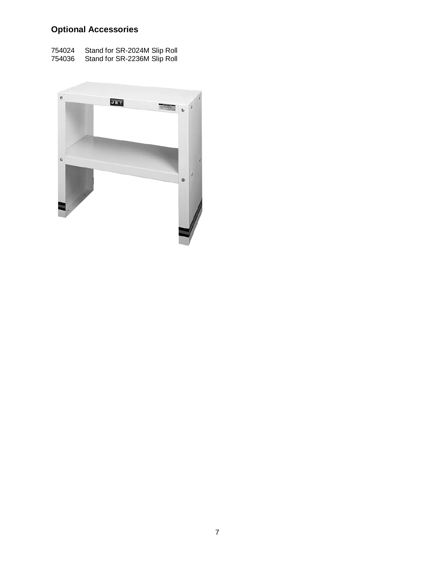# **Optional Accessories**

| 754024 | Stand for SR-2024M Slip Roll |
|--------|------------------------------|
| 754036 | Stand for SR-2236M Slip Roll |